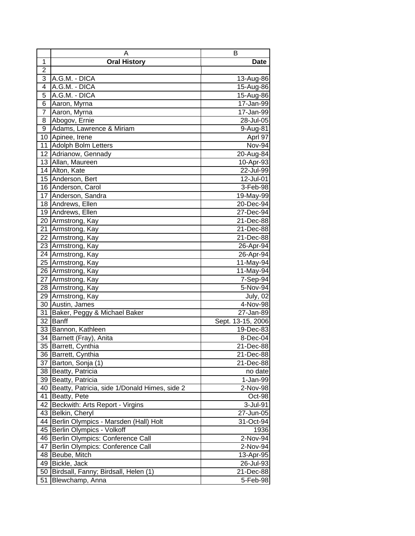|                 | A                                             | в                 |
|-----------------|-----------------------------------------------|-------------------|
| 1               | <b>Oral History</b>                           | <b>Date</b>       |
| $\overline{2}$  |                                               |                   |
| 3               | A.G.M. - DICA                                 | 13-Aug-86         |
| 4               | A.G.M. - DICA                                 | 15-Aug-86         |
| 5               | A.G.M. - DICA                                 | 15-Aug-86         |
| 6               | Aaron, Myrna                                  | 17-Jan-99         |
| $\overline{7}$  | Aaron, Myrna                                  | 17-Jan-99         |
| 8               | Abogov, Ernie                                 | 28-Jul-05         |
| 9               | Adams, Lawrence & Miriam                      | 9-Aug-81          |
|                 | 10 Apinee, Irene                              | Aprl 97           |
| 11              | Adolph Bolm Letters                           | Nov-94            |
|                 | 12 Adrianow, Gennady                          | 20-Aug-84         |
| 13              | Allan, Maureen                                | 10-Apr-93         |
|                 | 14 Alton, Kate                                | 22-Jul-99         |
|                 | 15 Anderson, Bert                             | 12-Jul-01         |
|                 | 16 Anderson, Carol                            | 3-Feb-98          |
| 17              | Anderson, Sandra                              | 19-May-99         |
|                 | 18 Andrews, Ellen                             | 20-Dec-94         |
|                 | 19 Andrews, Ellen                             | 27-Dec-94         |
|                 | 20 Armstrong, Kay                             | 21-Dec-88         |
| 21              | Armstrong, Kay                                | 21-Dec-88         |
| 22              | Armstrong, Kay                                | 21-Dec-88         |
|                 | 23 Armstrong, Kay                             | 26-Apr-94         |
|                 | 24 Armstrong, Kay                             | 26-Apr-94         |
| 25              | Armstrong, Kay                                | 11-May-94         |
|                 | 26 Armstrong, Kay                             | 11-May-94         |
| 27              | Armstrong, Kay                                | 7-Sep-94          |
| 28              | Armstrong, Kay                                | 5-Nov-94          |
| 29              | Armstrong, Kay                                | July, 02          |
| 30              | Austin, James                                 | 4-Nov-98          |
| 31              | Baker, Peggy & Michael Baker                  | 27-Jan-89         |
| 32              | <b>Banff</b>                                  | Sept. 13-15, 2006 |
|                 | 33 Bannon, Kathleen                           | 19-Dec-83         |
|                 | 34 Barnett (Fray), Anita                      | 8-Dec-04          |
| $\overline{35}$ | Barrett, Cynthia                              | 21-Dec-88         |
| 36              | Barrett, Cynthia                              | 21-Dec-88         |
| 37              | Barton, Sonja (1)                             | 21-Dec-88         |
| 38              | Beatty, Patricia                              | no date           |
| 39              | Beatty, Patricia                              | 1-Jan-99          |
| 40              | Beatty, Patricia, side 1/Donald Himes, side 2 | 2-Nov-98          |
| 41              | Beatty, Pete                                  | Oct-98            |
| 42              | Beckwith: Arts Report - Virgins               | 3-Jul-91          |
| 43              | Belkin, Cheryl                                | 27-Jun-05         |
| 44              | Berlin Olympics - Marsden (Hall) Holt         | 31-Oct-94         |
| 45              | Berlin Olympics - Volkoff                     | 1936              |
| 46              | Berlin Olympics: Conference Call              | 2-Nov-94          |
| 47              | Berlin Olympics: Conference Call              | 2-Nov-94          |
| 48              | Beube, Mitch                                  | 13-Apr-95         |
| 49              | Bickle, Jack                                  | 26-Jul-93         |
| 50              | Birdsall, Fanny; Birdsall, Helen (1)          | 21-Dec-88         |
| 51              | Blewchamp, Anna                               | 5-Feb-98          |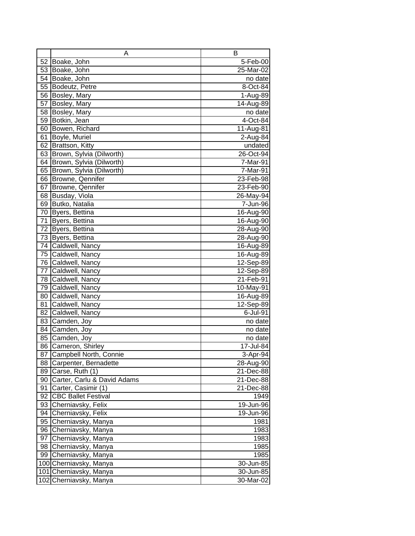|    | Α                           | в            |
|----|-----------------------------|--------------|
| 52 | Boake, John                 | 5-Feb-00     |
|    | 53 Boake, John              | 25-Mar-02    |
| 54 | Boake, John                 | no date      |
| 55 | Bodeutz, Petre              | 8-Oct-84     |
| 56 | Bosley, Mary                | 1-Aug-89     |
| 57 | Bosley, Mary                | 14-Aug-89    |
| 58 | Bosley, Mary                | no date      |
| 59 | Botkin, Jean                | 4-Oct-84     |
| 60 | Bowen, Richard              | 11-Aug-81    |
| 61 | Boyle, Muriel               | 2-Aug-84     |
| 62 | Brattson, Kitty             | undated      |
| 63 | Brown, Sylvia (Dilworth)    | $26$ -Oct-94 |
| 64 | Brown, Sylvia (Dilworth)    | 7-Mar-91     |
| 65 | Brown, Sylvia (Dilworth)    | 7-Mar-91     |
| 66 | Browne, Qennifer            | 23-Feb-98    |
| 67 | Browne, Qennifer            | 23-Feb-90    |
| 68 | Busday, Viola               | 26-May-94    |
| 69 | Butko, Natalia              | 7-Jun-96     |
| 70 | Byers, Bettina              | 16-Aug-90    |
| 71 | Byers, Bettina              | 16-Aug-90    |
| 72 | Byers, Bettina              | 28-Aug-90    |
| 73 | Byers, Bettina              | 28-Aug-90    |
| 74 | Caldwell, Nancy             | 16-Aug-89    |
|    | 75 Caldwell, Nancy          | 16-Aug-89    |
|    | 76 Caldwell, Nancy          | 12-Sep-89    |
| 77 | Caldwell, Nancy             | 12-Sep-89    |
|    | 78 Caldwell, Nancy          | 21-Feb-91    |
| 79 | Caldwell, Nancy             | 10-May-91    |
| 80 | Caldwell, Nancy             | 16-Aug-89    |
| 81 | Caldwell, Nancy             | 12-Sep-89    |
| 82 | Caldwell, Nancy             | 6-Jul-91     |
|    | 83 Camden, Joy              | no date      |
|    | 84 Camden, Joy              | no date      |
| 85 | Camden, Joy                 | no date      |
| 86 | Cameron, Shirley            | 17-Jul-84    |
| 87 | Campbell North, Connie      | 3-Apr-94     |
| 88 | Carpenter, Bernadette       | 28-Aug-90    |
| 89 | Carse, Ruth (1)             | 21-Dec-88    |
| 90 | Carter, Carlu & David Adams | 21-Dec-88    |
| 91 | Carter, Casimir (1)         | 21-Dec-88    |
| 92 | <b>CBC Ballet Festival</b>  | 1949         |
| 93 | Cherniavsky, Felix          | 19-Jun-96    |
| 94 | Cherniavsky, Felix          | 19-Jun-96    |
| 95 | Cherniavsky, Manya          | 1981         |
| 96 | Cherniavsky, Manya          | 1983         |
| 97 | Cherniavsky, Manya          | 1983         |
|    | 98 Cherniavsky, Manya       | 1985         |
|    | 99 Cherniavsky, Manya       | 1985         |
|    | 100 Cherniavsky, Manya      | 30-Jun-85    |
|    | 101 Cherniavsky, Manya      | 30-Jun-85    |
|    | 102 Cherniavsky, Manya      | 30-Mar-02    |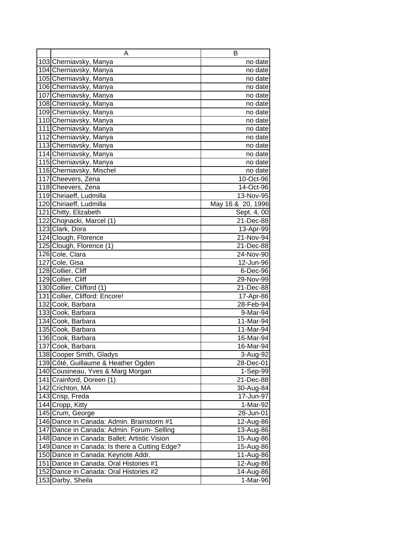| Α                                             | в                     |
|-----------------------------------------------|-----------------------|
| 103 Cherniavsky, Manya                        | no date               |
| 104 Cherniavsky, Manya                        | no date               |
| 105 Cherniavsky, Manya                        | no date               |
| 106 Cherniavsky, Manya                        | no date               |
| 107 Cherniavsky, Manya                        | no date               |
| 108 Cherniavsky, Manya                        | no date               |
| 109 Cherniavsky, Manya                        | no date               |
| 110 Cherniavsky, Manya                        | no date               |
| 111 Cherniavsky, Manya                        | no date               |
| 112 Cherniavsky, Manya                        | no date               |
| 113 Cherniavsky, Manya                        | no date               |
| 114 Cherniavsky, Manya                        | no date               |
| 115 Cherniavsky, Manya                        | no date               |
| 116 Cherniavsky, Mischel                      | no date               |
| 117 Cheevers, Zena                            | 10-Oct-96             |
| 118 Cheevers, Zena                            | 14-Oct-96             |
| 119 Chiriaeff, Ludmilla                       | 13-Nov-95             |
| 120 Chiriaeff, Ludmilla                       | May 16 & 20, 1996     |
| 121 Chitty, Elizabeth                         | Sept. 4, 00           |
| 122 Chojnacki, Marcel (1)                     | 21-Dec-88             |
| 123 Clark, Dora                               | 13-Apr-99             |
| 124 Clough, Florence                          | 21-Nov-94             |
| 125 Clough, Florence (1)                      | 21-Dec-88             |
| 126 Cole, Clara                               | 24-Nov-90             |
| 127 Cole, Gisa                                | 12-Jun-96             |
| 128 Collier, Cliff                            | 6-Dec-96              |
| 129 Collier, Cliff                            | 29-Nov-99             |
| 130 Collier, Clifford (1)                     | 21-Dec-88             |
| 131 Collier, Clifford: Encore!                | 17-Apr-86             |
| 132 Cook, Barbara                             | 28-Feb-94             |
| 133 Cook, Barbara                             | 9-Mar-94              |
| 134 Cook, Barbara                             | 11-Mar-94             |
| 135 Cook, Barbara                             | 11-Mar-94             |
| 136 Cook, Barbara                             | 16-Mar-94             |
| 137 Cook, Barbara                             | 16-Mar-94             |
| 138 Cooper Smith, Gladys                      | 3-Aug-92              |
| 139 Côté, Guillaume & Heather Ogden           | 28-Dec-01             |
| 140 Cousineau, Yves & Marg Morgan             | $1-Sep-99$            |
| 141 Crainford, Doreen (1)                     | 21-Dec-88             |
| 142 Crichton, MA                              | 30-Aug-84             |
| 143 Crisp, Freda                              | 17-Jun-97             |
| 144 Cropp, Kitty                              | 1-Mar-92              |
| 145 Crum, George                              | 28-Jun-01             |
| 146 Dance in Canada: Admin. Brainstorm #1     | 12-Aug-86             |
| 147 Dance in Canada: Admin. Forum- Selling    | 13-Aug-86             |
| 148 Dance in Canada: Ballet; Artistic Vision  | 15-Aug-86             |
| 149 Dance in Canada: Is there a Cutting Edge? | 15-Aug-86             |
| 150 Dance in Canada: Keynote Addr.            | 11-Aug-86             |
| 151 Dance in Canada: Oral Histories #1        | 12-Aug-86             |
| 152 Dance in Canada: Oral Histories #2        | 14-Aug-86<br>1-Mar-96 |
| 153 Darby, Sheila                             |                       |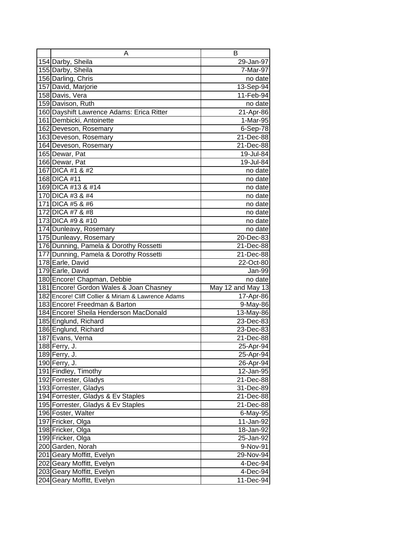| Α                                                      | В                     |
|--------------------------------------------------------|-----------------------|
| 154 Darby, Sheila                                      | 29-Jan-97             |
| 155 Darby, Sheila                                      | 7-Mar-97              |
| 156 Darling, Chris                                     | no date               |
| 157 David, Marjorie                                    | 13-Sep-94             |
| 158 Davis, Vera                                        | 11-Feb-94             |
| 159 Davison, Ruth                                      | no date               |
| 160 Dayshift Lawrence Adams: Erica Ritter              | 21-Apr-86             |
| 161 Dembicki, Antoinette                               | 1-Mar-95              |
| 162 Deveson, Rosemary                                  | 6-Sep-78              |
| 163 Deveson, Rosemary                                  | 21-Dec-88             |
| 164 Deveson, Rosemary                                  | 21-Dec-88             |
| 165 Dewar, Pat                                         | 19-Jul-84             |
| 166 Dewar, Pat                                         | 19-Jul-84             |
| 167 DICA #1 & #2                                       | no date               |
| 168 DICA #11                                           | no date               |
| 169 DICA #13 & #14                                     | no date               |
| 170 DICA #3 & #4                                       | no date               |
| 171 DICA #5 & #6                                       | no date               |
| 172 DICA #7 & #8                                       | no date               |
| 173 DICA #9 & #10                                      | no date               |
| 174 Dunleavy, Rosemary                                 | no date               |
| 175 Dunleavy, Rosemary                                 | 20-Dec-83             |
| 176 Dunning, Pamela & Dorothy Rossetti                 | 21-Dec-88             |
| 177 Dunning, Pamela & Dorothy Rossetti                 | 21-Dec-88             |
| 178 Earle, David                                       | 22-Oct-80             |
| 179 Earle, David                                       |                       |
|                                                        | Jan-99                |
| 180 Encore! Chapman, Debbie                            | no date               |
| 181 Encore! Gordon Wales & Joan Chasney                | May 12 and May 13     |
| 182 Encore! Cliff Collier & Miriam & Lawrence Adams    | 17-Apr-86             |
| 183 Encore! Freedman & Barton                          | 9-May-86              |
| 184 Encore! Sheila Henderson MacDonald                 | 13-May-86             |
| 185 Englund, Richard                                   | 23-Dec-83             |
| 186 Englund, Richard                                   | 23-Dec-83             |
| 187 Evans, Verna                                       | 21-Dec-88             |
| 188 Ferry, J.                                          | 25-Apr-94             |
| 189 Ferry, J.                                          | 25-Apr-94             |
| 190 Ferry, J.                                          | 26-Apr-94             |
| 191 Findley, Timothy                                   | 12-Jan-95             |
| 192 Forrester, Gladys                                  | 21-Dec-88             |
| 193 Forrester, Gladys                                  | 31-Dec-89             |
| 194 Forrester, Gladys & Ev Staples                     | 21-Dec-88             |
| 195 Forrester, Gladys & Ev Staples                     | 21-Dec-88             |
| 196 Foster, Walter                                     | 6-May-95              |
| 197 Fricker, Olga                                      | 11-Jan-92             |
| 198 Fricker, Olga                                      | 18-Jan-92             |
| 199 Fricker, Olga                                      | 25-Jan-92             |
| 200 Garden, Norah                                      | 9-Nov-91              |
| 201 Geary Moffitt, Evelyn                              | 29-Nov-94             |
| 202 Geary Moffitt, Evelyn                              | 4-Dec-94              |
| 203 Geary Moffitt, Evelyn<br>204 Geary Moffitt, Evelyn | 4-Dec-94<br>11-Dec-94 |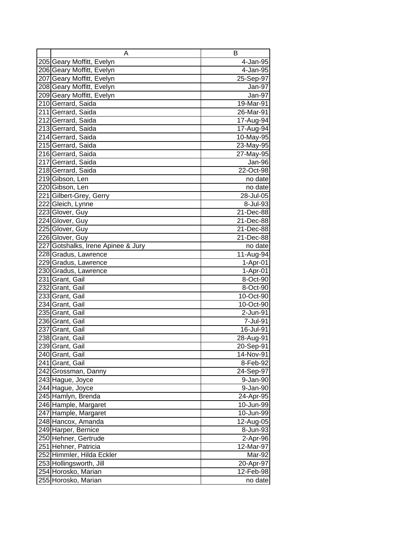| A                                  | В                       |
|------------------------------------|-------------------------|
| 205 Geary Moffitt, Evelyn          | 4-Jan-95                |
| 206 Geary Moffitt, Evelyn          | 4-Jan-95                |
| 207 Geary Moffitt, Evelyn          | 25-Sep-97               |
| 208 Geary Moffitt, Evelyn          | Jan-97                  |
| 209 Geary Moffitt, Evelyn          | Jan-97                  |
| 210 Gerrard, Saida                 | 19-Mar-91               |
| 211 Gerrard, Saida                 | 26-Mar-91               |
| 212 Gerrard, Saida                 | 17-Aug-94               |
| 213 Gerrard, Saida                 | 17-Aug-94               |
| 214 Gerrard, Saida                 | 10-May-95               |
| 215 Gerrard, Saida                 | 23-May-95               |
| 216 Gerrard, Saida                 | 27-May-95               |
| 217 Gerrard, Saida                 | Jan-96                  |
| 218 Gerrard, Saida                 | 22-Oct-98               |
| 219 Gibson, Len                    | no date                 |
| 220 Gibson, Len                    | no date                 |
| 221 Gilbert-Grey, Gerry            | 28-Jul-05               |
| 222 Gleich, Lynne                  | 8-Jul-93                |
| 223 Glover, Guy                    | 21-Dec-88               |
| 224 Glover, Guy                    | 21-Dec-88               |
| 225 Glover, Guy                    | 21-Dec-88               |
| 226 Glover, Guy                    | 21-Dec-88               |
| 227 Gotshalks, Irene Apinee & Jury | no date                 |
| 228 Gradus, Lawrence               | 11-Aug-94               |
| 229 Gradus, Lawrence               | $1-Apr-01$              |
| 230 Gradus, Lawrence               | $1-Apr-01$              |
| 231 Grant, Gail                    | 8-Oct-90                |
| 232 Grant, Gail                    | 8-Oct-90                |
| 233 Grant, Gail                    | 10-Oct-90               |
| 234 Grant, Gail                    | 10-Oct-90               |
| 235 Grant, Gail                    | 2-Jun-91                |
| 236 Grant, Gail                    | 7-Jul-91                |
| 237 Grant, Gail                    | 16-Jul-91               |
| 238 Grant, Gail                    | 28-Aug-91               |
| 239 Grant, Gail                    | 20-Sep-91               |
| 240 Grant, Gail                    | 14-Nov-91               |
| 241 Grant, Gail                    | 8-Feb-92                |
| 242 Grossman, Danny                | $\overline{2}$ 4-Sep-97 |
| 243 Hague, Joyce                   | 9-Jan-90                |
| 244 Hague, Joyce                   | 9-Jan-90                |
| 245 Hamlyn, Brenda                 | 24-Apr-95               |
| 246 Hample, Margaret               | 10-Jun-99               |
| 247 Hample, Margaret               | 10-Jun-99               |
| 248 Hancox, Amanda                 | 12-Aug-05               |
| 249 Harper, Bernice                | 8-Jun-93                |
| 250 Hehner, Gertrude               | 2-Apr-96                |
| 251 Hehner, Patricia               | 12-Mar-97               |
| 252 Himmler, Hilda Eckler          | Mar-92                  |
| 253 Hollingsworth, Jill            | 20-Apr-97               |
| 254 Horosko, Marian                | $12$ -Feb-98            |
| 255 Horosko, Marian                | no date                 |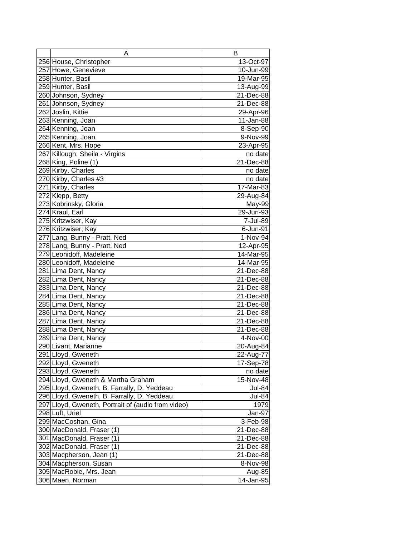| A                                                  | B             |
|----------------------------------------------------|---------------|
| 256 House, Christopher                             | 13-Oct-97     |
| 257 Howe, Genevieve                                | 10-Jun-99     |
| 258 Hunter, Basil                                  | 19-Mar-95     |
| 259 Hunter, Basil                                  | 13-Aug-99     |
| 260 Johnson, Sydney                                | 21-Dec-88     |
| 261 Johnson, Sydney                                | 21-Dec-88     |
| 262 Joslin, Kittie                                 | 29-Apr-96     |
| 263 Kenning, Joan                                  | 11-Jan-88     |
| 264 Kenning, Joan                                  | 8-Sep-90      |
| 265 Kenning, Joan                                  | 9-Nov-99      |
| 266 Kent, Mrs. Hope                                | 23-Apr-95     |
| 267 Killough, Sheila - Virgins                     | no date       |
| 268 King, Poline (1)                               | $21 - Dec-88$ |
| 269 Kirby, Charles                                 | no date       |
| 270 Kirby, Charles #3                              | no date       |
| 271 Kirby, Charles                                 | 17-Mar-83     |
| 272 Klepp, Betty                                   | 29-Aug-84     |
| 273 Kobrinsky, Gloria                              | May-99        |
| 274 Kraul, Earl                                    | 29-Jun-93     |
| 275 Kritzwiser, Kay                                | 7-Jul-89      |
| 276 Kritzwiser, Kay                                | 6-Jun-91      |
| 277 Lang, Bunny - Pratt, Ned                       | 1-Nov-94      |
| 278 Lang, Bunny - Pratt, Ned                       | 12-Apr-95     |
| 279 Leonidoff, Madeleine                           | 14-Mar-95     |
| 280 Leonidoff, Madeleine                           | 14-Mar-95     |
| 281 Lima Dent, Nancy                               | 21-Dec-88     |
| 282 Lima Dent, Nancy                               | 21-Dec-88     |
| 283 Lima Dent, Nancy                               | 21-Dec-88     |
| 284 Lima Dent, Nancy                               | 21-Dec-88     |
| 285 Lima Dent, Nancy                               | 21-Dec-88     |
| 286 Lima Dent, Nancy                               | 21-Dec-88     |
| 287 Lima Dent, Nancy                               | 21-Dec-88     |
| 288 Lima Dent, Nancy                               | 21-Dec-88     |
| 289 Lima Dent, Nancy                               | 4-Nov-00      |
| 290 Livant, Marianne                               | 20-Aug-84     |
| 291 Lloyd, Gweneth                                 | 22-Aug-77     |
| 292 Lloyd, Gweneth                                 | 17-Sep-78     |
| 293 Lloyd, Gweneth                                 | no date       |
| 294 Lloyd, Gweneth & Martha Graham                 | 15-Nov-48     |
| 295 Lloyd, Gweneth, B. Farrally, D. Yeddeau        | <b>Jul-84</b> |
| 296 Lloyd, Gweneth, B. Farrally, D. Yeddeau        | <b>Jul-84</b> |
| 297 Lloyd, Gweneth, Portrait of (audio from video) | 1979          |
| 298 Luft, Uriel                                    | Jan-97        |
| 299 MacCoshan, Gina                                | 3-Feb-98      |
| 300 MacDonald, Fraser (1)                          | 21-Dec-88     |
| 301 MacDonald, Fraser (1)                          | 21-Dec-88     |
| 302 MacDonald, Fraser (1)                          | 21-Dec-88     |
| 303 Macpherson, Jean (1)                           | 21-Dec-88     |
| 304 Macpherson, Susan                              | 8-Nov-98      |
| 305 MacRobie, Mrs. Jean                            | Aug-85        |
| 306 Maen, Norman                                   | 14-Jan-95     |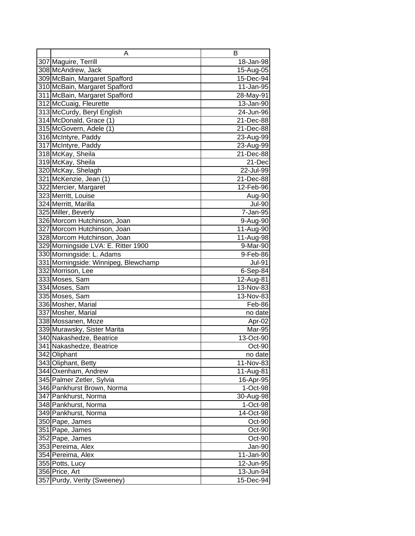| A                                    | в             |
|--------------------------------------|---------------|
| 307 Maguire, Terrill                 | 18-Jan-98     |
| 308 McAndrew, Jack                   | 15-Aug-05     |
| 309 McBain, Margaret Spafford        | 15-Dec-94     |
| 310 McBain, Margaret Spafford        | 11-Jan-95     |
| 311 McBain, Margaret Spafford        | 28-May-91     |
| 312 McCuaig, Fleurette               | 13-Jan-90     |
| 313 McCurdy, Beryl English           | 24-Jun-96     |
| 314 McDonald, Grace (1)              | 21-Dec-88     |
| 315 McGovern, Adele (1)              | 21-Dec-88     |
| 316 McIntyre, Paddy                  | 23-Aug-99     |
| 317 McIntyre, Paddy                  | 23-Aug-99     |
| 318 McKay, Sheila                    | 21-Dec-88     |
| 319 McKay, Sheila                    | 21-Dec        |
| 320 McKay, Shelagh                   | 22-Jul-99     |
| 321 McKenzie, Jean (1)               | 21-Dec-88     |
| 322 Mercier, Margaret                | 12-Feb-96     |
| 323 Merritt, Louise                  | Aug-90        |
| 324 Merritt, Marilla                 | <b>Jul-90</b> |
| 325 Miller, Beverly                  | 7-Jan-95      |
| 326 Morcom Hutchinson, Joan          | 9-Aug-90      |
| 327 Morcom Hutchinson, Joan          | 11-Aug-90     |
| 328 Morcom Hutchinson, Joan          | 11-Aug-98     |
| 329 Morningside LVA: E. Ritter 1900  | 9-Mar-90      |
| 330 Morningside: L. Adams            | 9-Feb-86      |
| 331 Morningside: Winnipeg, Blewchamp | <b>Jul-91</b> |
| 332 Morrison, Lee                    | $6-Sep-84$    |
| 333 Moses, Sam                       | 12-Aug-81     |
| 334 Moses, Sam                       | 13-Nov-83     |
| 335 Moses, Sam                       | 13-Nov-83     |
| 336 Mosher, Marial                   | Feb-86        |
| 337 Mosher, Marial                   | no date       |
| 338 Mossanen, Moze                   | Apr-02        |
| 339 Murawsky, Sister Marita          | Mar-95        |
| 340 Nakashedze, Beatrice             | 13-Oct-90     |
| 341 Nakashedze, Beatrice             | Oct-90        |
| 342 Oliphant                         | no date       |
| 343 Oliphant, Betty                  | 11-Nov-83     |
| 344 Oxenham, Andrew                  | 11-Aug-81     |
| 345 Palmer Zetler, Sylvia            | 16-Apr-95     |
| 346 Pankhurst Brown, Norma           | 1-Oct-98      |
| 347 Pankhurst, Norma                 | 30-Aug-98     |
| 348 Pankhurst, Norma                 | 1-Oct-98      |
| 349 Pankhurst, Norma                 | 14-Oct-98     |
| 350 Pape, James                      | Oct-90        |
| 351 Pape, James                      | Oct-90        |
| 352 Pape, James                      | Oct-90        |
| 353 Pereima, Alex                    | Jan-90        |
| 354 Pereima, Alex                    | 11-Jan-90     |
| 355 Potts, Lucy                      | 12-Jun-95     |
| 356 Price, Art                       | 13-Jun-94     |
| 357 Purdy, Verity (Sweeney)          | 15-Dec-94     |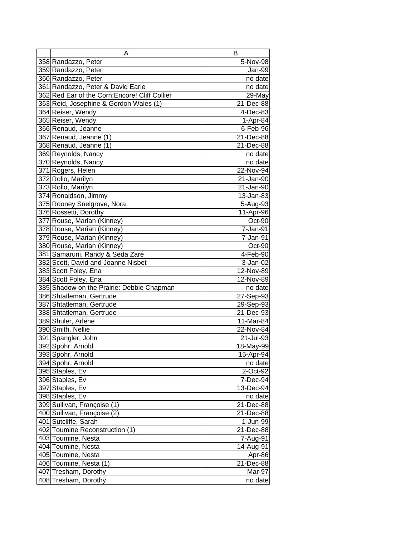| Α                                              | в         |
|------------------------------------------------|-----------|
| 358 Randazzo, Peter                            | 5-Nov-98  |
| 359 Randazzo, Peter                            | Jan-99    |
| 360 Randazzo, Peter                            | no date   |
| 361 Randazzo, Peter & David Earle              | no date   |
| 362 Red Ear of the Corn: Encore! Cliff Collier | 29-May    |
| 363 Reid, Josephine & Gordon Wales (1)         | 21-Dec-88 |
| 364 Reiser, Wendy                              | 4-Dec-83  |
| 365 Reiser, Wendy                              | 1-Apr-84  |
| 366 Renaud, Jeanne                             | 6-Feb-96  |
| 367 Renaud, Jeanne (1)                         | 21-Dec-88 |
| 368 Renaud, Jeanne (1)                         | 21-Dec-88 |
| 369 Reynolds, Nancy                            | no date   |
| 370 Reynolds, Nancy                            | no date   |
| 371 Rogers, Helen                              | 22-Nov-94 |
| 372 Rollo, Marilyn                             | 21-Jan-90 |
| 373 Rollo, Marilyn                             | 21-Jan-90 |
| 374 Ronaldson, Jimmy                           | 13-Jan-83 |
| 375 Rooney Snelgrove, Nora                     | 5-Aug-93  |
| 376 Rossetti, Dorothy                          | 11-Apr-96 |
| 377 Rouse, Marian (Kinney)                     | Oct-90    |
| 378 Rouse, Marian (Kinney)                     | 7-Jan-91  |
| 379 Rouse, Marian (Kinney)                     | 7-Jan-91  |
| 380 Rouse, Marian (Kinney)                     | Oct-90    |
| 381 Samaruni, Randy & Seda Zaré                | 4-Feb-90  |
| 382 Scott, David and Joanne Nisbet             | 3-Jan-02  |
| 383 Scott Foley, Ena                           | 12-Nov-89 |
| 384 Scott Foley, Ena                           | 12-Nov-89 |
| 385 Shadow on the Prairie: Debbie Chapman      | no date   |
| 386 Shtatleman, Gertrude                       | 27-Sep-93 |
| 387 Shtatleman, Gertrude                       | 29-Sep-93 |
| 388 Shtatleman, Gertrude                       | 21-Dec-93 |
| 389 Shuler, Arlene                             | 11-Mar-84 |
| 390 Smith, Nellie                              | 22-Nov-84 |
| 391 Spangler, John                             | 21-Jul-93 |
| 392 Spohr, Arnold                              | 18-May-99 |
| 393 Spohr, Arnold                              | 15-Apr-94 |
| 394 Spohr, Arnold                              | no date   |
| 395 Staples, Ev                                | 2-Oct-92  |
| 396 Staples, Ev                                | 7-Dec-94  |
| 397 Staples, Ev                                | 13-Dec-94 |
| 398 Staples, Ev                                | no date   |
| 399 Sullivan, Françoise (1)                    | 21-Dec-88 |
| 400 Sullivan, Françoise (2)                    | 21-Dec-88 |
| 401 Sutcliffe, Sarah                           | 1-Jun-99  |
| 402 Toumine Reconstruction (1)                 | 21-Dec-88 |
| 403 Toumine, Nesta                             | 7-Aug-91  |
| 404 Toumine, Nesta                             | 14-Aug-91 |
| 405 Toumine, Nesta                             | Apr-86    |
| 406 Toumine, Nesta (1)                         | 21-Dec-88 |
| 407 Tresham, Dorothy                           | Mar-97    |
| 408 Tresham, Dorothy                           | no date   |